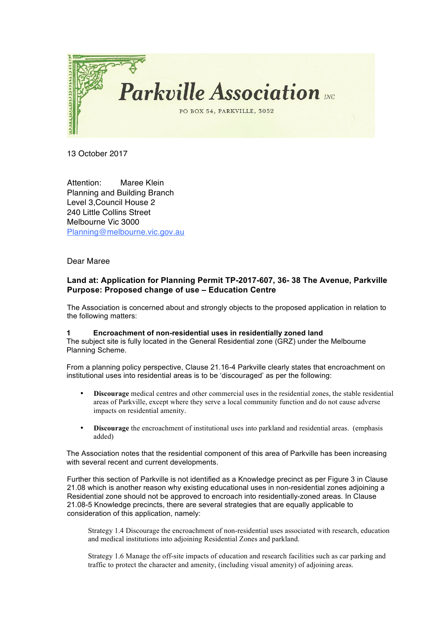

13 October 2017

Attention: Maree Klein Planning and Building Branch Level 3,Council House 2 240 Little Collins Street Melbourne Vic 3000 Planning@melbourne.vic.gov.au

Dear Maree

## **Land at: Application for Planning Permit TP-2017-607, 36- 38 The Avenue, Parkville Purpose: Proposed change of use – Education Centre**

The Association is concerned about and strongly objects to the proposed application in relation to the following matters:

## **1 Encroachment of non-residential uses in residentially zoned land**

The subject site is fully located in the General Residential zone (GRZ) under the Melbourne Planning Scheme.

From a planning policy perspective, Clause 21.16-4 Parkville clearly states that encroachment on institutional uses into residential areas is to be 'discouraged' as per the following:

- **Discourage** medical centres and other commercial uses in the residential zones, the stable residential areas of Parkville, except where they serve a local community function and do not cause adverse impacts on residential amenity.
- **Discourage** the encroachment of institutional uses into parkland and residential areas. (emphasis added)

The Association notes that the residential component of this area of Parkville has been increasing with several recent and current developments.

Further this section of Parkville is not identified as a Knowledge precinct as per Figure 3 in Clause 21.08 which is another reason why existing educational uses in non-residential zones adjoining a Residential zone should not be approved to encroach into residentially-zoned areas. In Clause 21.08-5 Knowledge precincts, there are several strategies that are equally applicable to consideration of this application, namely:

Strategy 1.4 Discourage the encroachment of non-residential uses associated with research, education and medical institutions into adjoining Residential Zones and parkland.

Strategy 1.6 Manage the off-site impacts of education and research facilities such as car parking and traffic to protect the character and amenity, (including visual amenity) of adjoining areas.